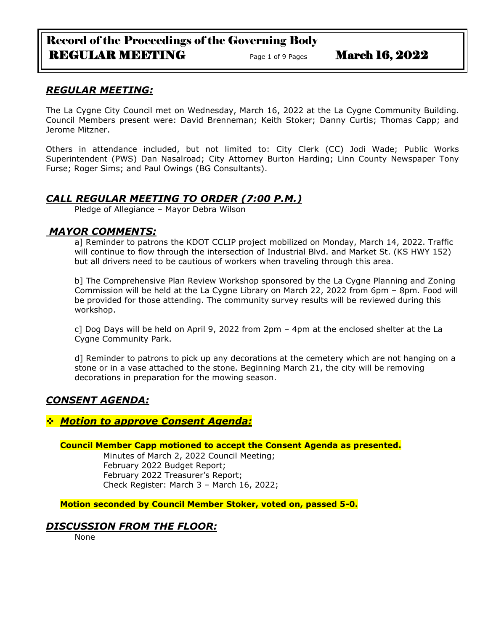# Record of the Proceedings of the Governing Body REGULAR MEETING Page 1 of 9 Pages March 16, 2022

# *REGULAR MEETING:*

The La Cygne City Council met on Wednesday, March 16, 2022 at the La Cygne Community Building. Council Members present were: David Brenneman; Keith Stoker; Danny Curtis; Thomas Capp; and Jerome Mitzner.

Others in attendance included, but not limited to: City Clerk (CC) Jodi Wade; Public Works Superintendent (PWS) Dan Nasalroad; City Attorney Burton Harding; Linn County Newspaper Tony Furse; Roger Sims; and Paul Owings (BG Consultants).

# *CALL REGULAR MEETING TO ORDER (7:00 P.M.)*

Pledge of Allegiance – Mayor Debra Wilson

# *MAYOR COMMENTS:*

a] Reminder to patrons the KDOT CCLIP project mobilized on Monday, March 14, 2022. Traffic will continue to flow through the intersection of Industrial Blvd. and Market St. (KS HWY 152) but all drivers need to be cautious of workers when traveling through this area.

b] The Comprehensive Plan Review Workshop sponsored by the La Cygne Planning and Zoning Commission will be held at the La Cygne Library on March 22, 2022 from 6pm – 8pm. Food will be provided for those attending. The community survey results will be reviewed during this workshop.

c] Dog Days will be held on April 9, 2022 from 2pm – 4pm at the enclosed shelter at the La Cygne Community Park.

d] Reminder to patrons to pick up any decorations at the cemetery which are not hanging on a stone or in a vase attached to the stone. Beginning March 21, the city will be removing decorations in preparation for the mowing season.

# *CONSENT AGENDA:*

❖ *Motion to approve Consent Agenda:*

## **Council Member Capp motioned to accept the Consent Agenda as presented.**

Minutes of March 2, 2022 Council Meeting; February 2022 Budget Report; February 2022 Treasurer's Report; Check Register: March 3 – March 16, 2022;

**Motion seconded by Council Member Stoker, voted on, passed 5-0.** 

# *DISCUSSION FROM THE FLOOR:*

None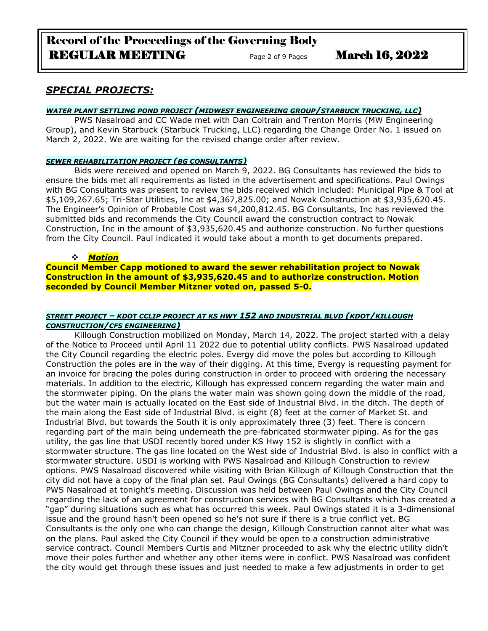# Record of the Proceedings of the Governing Body REGULAR MEETING Page 2 of 9 Pages March 16, 2022

# *SPECIAL PROJECTS:*

## *WATER PLANT SETTLING POND PROJECT (MIDWEST ENGINEERING GROUP/STARBUCK TRUCKING, LLC)*

PWS Nasalroad and CC Wade met with Dan Coltrain and Trenton Morris (MW Engineering Group), and Kevin Starbuck (Starbuck Trucking, LLC) regarding the Change Order No. 1 issued on March 2, 2022. We are waiting for the revised change order after review.

#### *SEWER REHABILITATION PROJECT (BG CONSULTANTS)*

Bids were received and opened on March 9, 2022. BG Consultants has reviewed the bids to ensure the bids met all requirements as listed in the advertisement and specifications. Paul Owings with BG Consultants was present to review the bids received which included: Municipal Pipe & Tool at \$5,109,267.65; Tri-Star Utilities, Inc at \$4,367,825.00; and Nowak Construction at \$3,935,620.45. The Engineer's Opinion of Probable Cost was \$4,200,812.45. BG Consultants, Inc has reviewed the submitted bids and recommends the City Council award the construction contract to Nowak Construction, Inc in the amount of \$3,935,620.45 and authorize construction. No further questions from the City Council. Paul indicated it would take about a month to get documents prepared.

## ❖ *Motion*

**Council Member Capp motioned to award the sewer rehabilitation project to Nowak Construction in the amount of \$3,935,620.45 and to authorize construction. Motion seconded by Council Member Mitzner voted on, passed 5-0.**

## *STREET PROJECT – KDOT CCLIP PROJECT AT KS HWY 152 AND INDUSTRIAL BLVD (KDOT/KILLOUGH CONSTRUCTION/CFS ENGINEERING)*

Killough Construction mobilized on Monday, March 14, 2022. The project started with a delay of the Notice to Proceed until April 11 2022 due to potential utility conflicts. PWS Nasalroad updated the City Council regarding the electric poles. Evergy did move the poles but according to Killough Construction the poles are in the way of their digging. At this time, Evergy is requesting payment for an invoice for bracing the poles during construction in order to proceed with ordering the necessary materials. In addition to the electric, Killough has expressed concern regarding the water main and the stormwater piping. On the plans the water main was shown going down the middle of the road, but the water main is actually located on the East side of Industrial Blvd. in the ditch. The depth of the main along the East side of Industrial Blvd. is eight (8) feet at the corner of Market St. and Industrial Blvd. but towards the South it is only approximately three (3) feet. There is concern regarding part of the main being underneath the pre-fabricated stormwater piping. As for the gas utility, the gas line that USDI recently bored under KS Hwy 152 is slightly in conflict with a stormwater structure. The gas line located on the West side of Industrial Blvd. is also in conflict with a stormwater structure. USDI is working with PWS Nasalroad and Killough Construction to review options. PWS Nasalroad discovered while visiting with Brian Killough of Killough Construction that the city did not have a copy of the final plan set. Paul Owings (BG Consultants) delivered a hard copy to PWS Nasalroad at tonight's meeting. Discussion was held between Paul Owings and the City Council regarding the lack of an agreement for construction services with BG Consultants which has created a "gap" during situations such as what has occurred this week. Paul Owings stated it is a 3-dimensional issue and the ground hasn't been opened so he's not sure if there is a true conflict yet. BG Consultants is the only one who can change the design, Killough Construction cannot alter what was on the plans. Paul asked the City Council if they would be open to a construction administrative service contract. Council Members Curtis and Mitzner proceeded to ask why the electric utility didn't move their poles further and whether any other items were in conflict. PWS Nasalroad was confident the city would get through these issues and just needed to make a few adjustments in order to get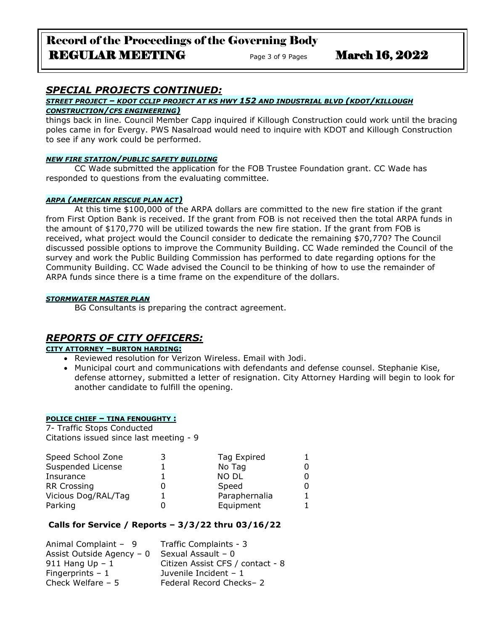# Record of the Proceedings of the Governing Body REGULAR MEETING Page 3 of 9 Pages March 16, 2022

# *SPECIAL PROJECTS CONTINUED:*

# *STREET PROJECT – KDOT CCLIP PROJECT AT KS HWY 152 AND INDUSTRIAL BLVD (KDOT/KILLOUGH*

## *CONSTRUCTION/CFS ENGINEERING)*

things back in line. Council Member Capp inquired if Killough Construction could work until the bracing poles came in for Evergy. PWS Nasalroad would need to inquire with KDOT and Killough Construction to see if any work could be performed.

## *NEW FIRE STATION/PUBLIC SAFETY BUILDING*

CC Wade submitted the application for the FOB Trustee Foundation grant. CC Wade has responded to questions from the evaluating committee.

## *ARPA (AMERICAN RESCUE PLAN ACT)*

At this time \$100,000 of the ARPA dollars are committed to the new fire station if the grant from First Option Bank is received. If the grant from FOB is not received then the total ARPA funds in the amount of \$170,770 will be utilized towards the new fire station. If the grant from FOB is received, what project would the Council consider to dedicate the remaining \$70,770? The Council discussed possible options to improve the Community Building. CC Wade reminded the Council of the survey and work the Public Building Commission has performed to date regarding options for the Community Building. CC Wade advised the Council to be thinking of how to use the remainder of ARPA funds since there is a time frame on the expenditure of the dollars.

## *STORMWATER MASTER PLAN*

BG Consultants is preparing the contract agreement.

# *REPORTS OF CITY OFFICERS:*

## **CITY ATTORNEY –BURTON HARDING:**

- Reviewed resolution for Verizon Wireless. Email with Jodi.
- Municipal court and communications with defendants and defense counsel. Stephanie Kise, defense attorney, submitted a letter of resignation. City Attorney Harding will begin to look for another candidate to fulfill the opening.

## **POLICE CHIEF – TINA FENOUGHTY :**

7- Traffic Stops Conducted Citations issued since last meeting - 9

| Speed School Zone   | Tag Expired   |  |
|---------------------|---------------|--|
| Suspended License   | No Tag        |  |
| Insurance           | <b>NO DL</b>  |  |
| <b>RR Crossing</b>  | Speed         |  |
| Vicious Dog/RAL/Tag | Paraphernalia |  |
| Parking             | Equipment     |  |

## **Calls for Service / Reports – 3/3/22 thru 03/16/22**

| Traffic Complaints - 3           |
|----------------------------------|
| Sexual Assault $-0$              |
| Citizen Assist CFS / contact - 8 |
| Juvenile Incident $-1$           |
| Federal Record Checks-2          |
|                                  |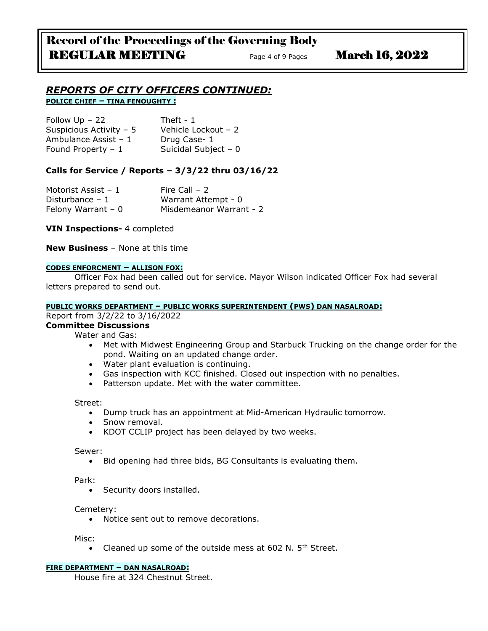## *REPORTS OF CITY OFFICERS CONTINUED:* **POLICE CHIEF – TINA FENOUGHTY :**

| Follow $Up - 22$        | Theft - $1$          |
|-------------------------|----------------------|
| Suspicious Activity - 5 | Vehicle Lockout - 2  |
| Ambulance Assist - 1    | Drug Case-1          |
| Found Property $-1$     | Suicidal Subject - 0 |

## **Calls for Service / Reports – 3/3/22 thru 03/16/22**

| Motorist Assist - 1 | Fire Call $-2$          |
|---------------------|-------------------------|
| Disturbance $-1$    | Warrant Attempt - 0     |
| Felony Warrant $-0$ | Misdemeanor Warrant - 2 |

**VIN Inspections-** 4 completed

**New Business** – None at this time

#### **CODES ENFORCMENT – ALLISON FOX:**

Officer Fox had been called out for service. Mayor Wilson indicated Officer Fox had several letters prepared to send out.

## **PUBLIC WORKS DEPARTMENT – PUBLIC WORKS SUPERINTENDENT (PWS) DAN NASALROAD:**

## Report from 3/2/22 to 3/16/2022

**Committee Discussions**

Water and Gas:

- Met with Midwest Engineering Group and Starbuck Trucking on the change order for the pond. Waiting on an updated change order.
- Water plant evaluation is continuing.
- Gas inspection with KCC finished. Closed out inspection with no penalties.
- Patterson update. Met with the water committee.

Street:

- Dump truck has an appointment at Mid-American Hydraulic tomorrow.
- Snow removal.
- KDOT CCLIP project has been delayed by two weeks.

Sewer:

• Bid opening had three bids, BG Consultants is evaluating them.

Park:

• Security doors installed.

#### Cemetery:

• Notice sent out to remove decorations.

Misc:

• Cleaned up some of the outside mess at 602 N. 5<sup>th</sup> Street.

#### **FIRE DEPARTMENT – DAN NASALROAD:**

House fire at 324 Chestnut Street.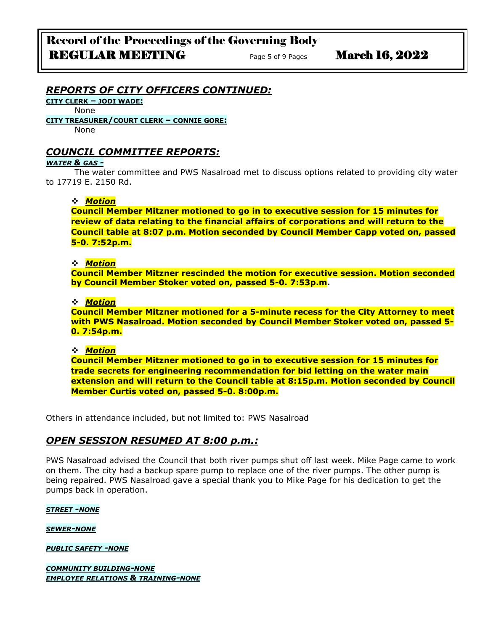## *REPORTS OF CITY OFFICERS CONTINUED:*

**CITY CLERK – JODI WADE:**

None

**CITY TREASURER/COURT CLERK – CONNIE GORE:**

None

## *COUNCIL COMMITTEE REPORTS:*

#### *WATER & GAS -*

The water committee and PWS Nasalroad met to discuss options related to providing city water to 17719 E. 2150 Rd.

## ❖ *Motion*

**Council Member Mitzner motioned to go in to executive session for 15 minutes for review of data relating to the financial affairs of corporations and will return to the Council table at 8:07 p.m. Motion seconded by Council Member Capp voted on, passed 5-0. 7:52p.m.**

## ❖ *Motion*

**Council Member Mitzner rescinded the motion for executive session. Motion seconded by Council Member Stoker voted on, passed 5-0. 7:53p.m.**

## ❖ *Motion*

**Council Member Mitzner motioned for a 5-minute recess for the City Attorney to meet with PWS Nasalroad. Motion seconded by Council Member Stoker voted on, passed 5- 0. 7:54p.m.**

## ❖ *Motion*

**Council Member Mitzner motioned to go in to executive session for 15 minutes for trade secrets for engineering recommendation for bid letting on the water main extension and will return to the Council table at 8:15p.m. Motion seconded by Council Member Curtis voted on, passed 5-0. 8:00p.m.**

Others in attendance included, but not limited to: PWS Nasalroad

## *OPEN SESSION RESUMED AT 8:00 p.m.:*

PWS Nasalroad advised the Council that both river pumps shut off last week. Mike Page came to work on them. The city had a backup spare pump to replace one of the river pumps. The other pump is being repaired. PWS Nasalroad gave a special thank you to Mike Page for his dedication to get the pumps back in operation.

#### *STREET -NONE*

*SEWER-NONE*

*PUBLIC SAFETY -NONE*

*COMMUNITY BUILDING-NONE EMPLOYEE RELATIONS & TRAINING-NONE*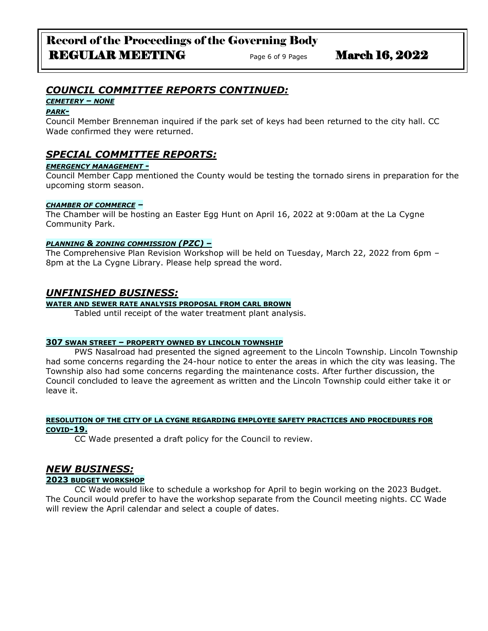# *COUNCIL COMMITTEE REPORTS CONTINUED:*

## *CEMETERY – NONE*

## *PARK-*

Council Member Brenneman inquired if the park set of keys had been returned to the city hall. CC Wade confirmed they were returned.

# *SPECIAL COMMITTEE REPORTS:*

## *EMERGENCY MANAGEMENT -*

Council Member Capp mentioned the County would be testing the tornado sirens in preparation for the upcoming storm season.

## *CHAMBER OF COMMERCE –*

The Chamber will be hosting an Easter Egg Hunt on April 16, 2022 at 9:00am at the La Cygne Community Park.

## *PLANNING & ZONING COMMISSION (PZC) –*

The Comprehensive Plan Revision Workshop will be held on Tuesday, March 22, 2022 from 6pm – 8pm at the La Cygne Library. Please help spread the word.

## *UNFINISHED BUSINESS:*

**WATER AND SEWER RATE ANALYSIS PROPOSAL FROM CARL BROWN**

Tabled until receipt of the water treatment plant analysis.

## **307 SWAN STREET – PROPERTY OWNED BY LINCOLN TOWNSHIP**

PWS Nasalroad had presented the signed agreement to the Lincoln Township. Lincoln Township had some concerns regarding the 24-hour notice to enter the areas in which the city was leasing. The Township also had some concerns regarding the maintenance costs. After further discussion, the Council concluded to leave the agreement as written and the Lincoln Township could either take it or leave it.

#### **RESOLUTION OF THE CITY OF LA CYGNE REGARDING EMPLOYEE SAFETY PRACTICES AND PROCEDURES FOR COVID-19.**

CC Wade presented a draft policy for the Council to review.

# *NEW BUSINESS:*

## **2023 BUDGET WORKSHOP**

CC Wade would like to schedule a workshop for April to begin working on the 2023 Budget. The Council would prefer to have the workshop separate from the Council meeting nights. CC Wade will review the April calendar and select a couple of dates.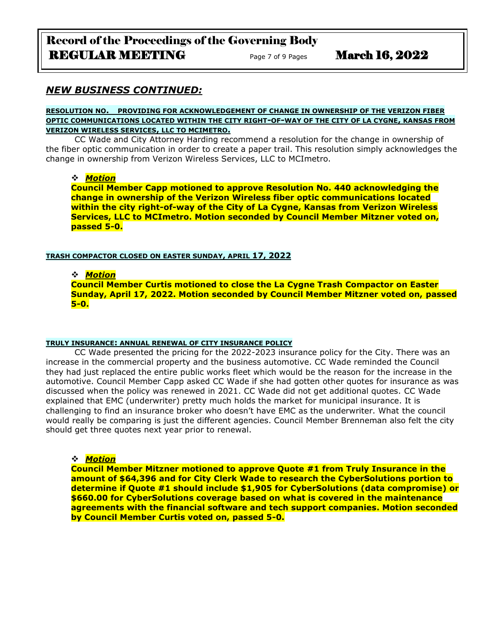Record of the Proceedings of the Governing Body REGULAR MEETING Page 7 of 9 Pages March 16, 2022

## *NEW BUSINESS CONTINUED:*

#### **RESOLUTION NO. PROVIDING FOR ACKNOWLEDGEMENT OF CHANGE IN OWNERSHIP OF THE VERIZON FIBER OPTIC COMMUNICATIONS LOCATED WITHIN THE CITY RIGHT-OF-WAY OF THE CITY OF LA CYGNE, KANSAS FROM VERIZON WIRELESS SERVICES, LLC TO MCIMETRO.**

CC Wade and City Attorney Harding recommend a resolution for the change in ownership of the fiber optic communication in order to create a paper trail. This resolution simply acknowledges the change in ownership from Verizon Wireless Services, LLC to MCImetro.

## ❖ *Motion*

**Council Member Capp motioned to approve Resolution No. 440 acknowledging the change in ownership of the Verizon Wireless fiber optic communications located within the city right-of-way of the City of La Cygne, Kansas from Verizon Wireless Services, LLC to MCImetro. Motion seconded by Council Member Mitzner voted on, passed 5-0.** 

## **TRASH COMPACTOR CLOSED ON EASTER SUNDAY, APRIL 17, 2022**

## ❖ *Motion*

**Council Member Curtis motioned to close the La Cygne Trash Compactor on Easter Sunday, April 17, 2022. Motion seconded by Council Member Mitzner voted on, passed 5-0.** 

#### **TRULY INSURANCE: ANNUAL RENEWAL OF CITY INSURANCE POLICY**

CC Wade presented the pricing for the 2022-2023 insurance policy for the City. There was an increase in the commercial property and the business automotive. CC Wade reminded the Council they had just replaced the entire public works fleet which would be the reason for the increase in the automotive. Council Member Capp asked CC Wade if she had gotten other quotes for insurance as was discussed when the policy was renewed in 2021. CC Wade did not get additional quotes. CC Wade explained that EMC (underwriter) pretty much holds the market for municipal insurance. It is challenging to find an insurance broker who doesn't have EMC as the underwriter. What the council would really be comparing is just the different agencies. Council Member Brenneman also felt the city should get three quotes next year prior to renewal.

❖ *Motion* 

**Council Member Mitzner motioned to approve Quote #1 from Truly Insurance in the amount of \$64,396 and for City Clerk Wade to research the CyberSolutions portion to determine if Quote #1 should include \$1,905 for CyberSolutions (data compromise) or \$660.00 for CyberSolutions coverage based on what is covered in the maintenance agreements with the financial software and tech support companies. Motion seconded by Council Member Curtis voted on, passed 5-0.**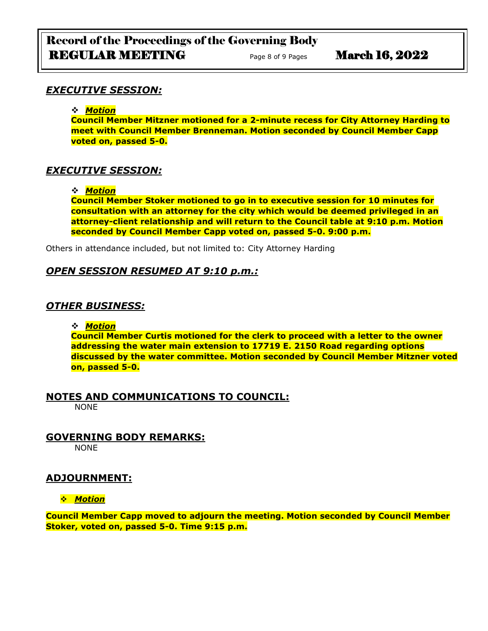# Record of the Proceedings of the Governing Body REGULAR MEETING Page 8 of 9 Pages March 16, 2022

# *EXECUTIVE SESSION:*

## ❖ *Motion*

**Council Member Mitzner motioned for a 2-minute recess for City Attorney Harding to meet with Council Member Brenneman. Motion seconded by Council Member Capp voted on, passed 5-0.**

# *EXECUTIVE SESSION:*

## ❖ *Motion*

**Council Member Stoker motioned to go in to executive session for 10 minutes for consultation with an attorney for the city which would be deemed privileged in an attorney-client relationship and will return to the Council table at 9:10 p.m. Motion seconded by Council Member Capp voted on, passed 5-0. 9:00 p.m.**

Others in attendance included, but not limited to: City Attorney Harding

# *OPEN SESSION RESUMED AT 9:10 p.m.:*

# *OTHER BUSINESS:*

## ❖ *Motion*

**Council Member Curtis motioned for the clerk to proceed with a letter to the owner addressing the water main extension to 17719 E. 2150 Road regarding options discussed by the water committee. Motion seconded by Council Member Mitzner voted on, passed 5-0.**

# **NOTES AND COMMUNICATIONS TO COUNCIL:**

NONE

# **GOVERNING BODY REMARKS:**

NONE

# **ADJOURNMENT:**

## ❖ *Motion*

**Council Member Capp moved to adjourn the meeting. Motion seconded by Council Member Stoker, voted on, passed 5-0. Time 9:15 p.m.**